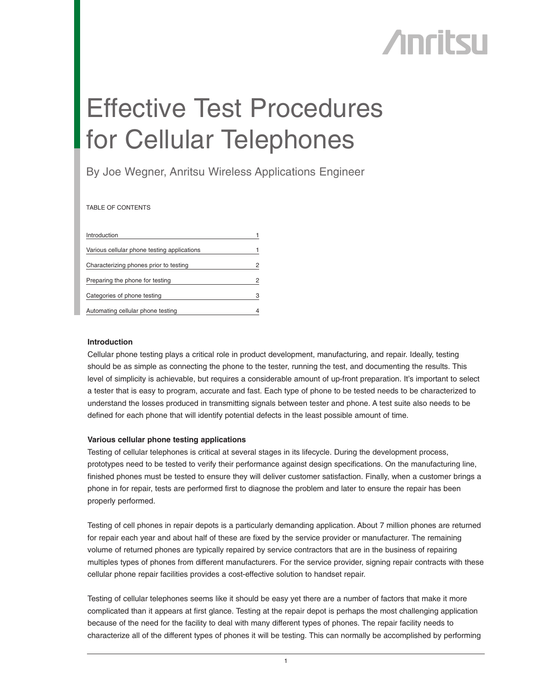# **Anritsu**

# Effective Test Procedures for Cellular Telephones

By Joe Wegner, Anritsu Wireless Applications Engineer

TABLE OF CONTENTS

| Introduction                                |   |
|---------------------------------------------|---|
| Various cellular phone testing applications |   |
| Characterizing phones prior to testing      | 2 |
| Preparing the phone for testing             | 2 |
| Categories of phone testing                 | 3 |
| Automating cellular phone testing           | 4 |

## **Introduction**

Cellular phone testing plays a critical role in product development, manufacturing, and repair. Ideally, testing should be as simple as connecting the phone to the tester, running the test, and documenting the results. This level of simplicity is achievable, but requires a considerable amount of up-front preparation. It's important to select a tester that is easy to program, accurate and fast. Each type of phone to be tested needs to be characterized to understand the losses produced in transmitting signals between tester and phone. A test suite also needs to be defined for each phone that will identify potential defects in the least possible amount of time.

## **Various cellular phone testing applications**

Testing of cellular telephones is critical at several stages in its lifecycle. During the development process, prototypes need to be tested to verify their performance against design specifications. On the manufacturing line, finished phones must be tested to ensure they will deliver customer satisfaction. Finally, when a customer brings a phone in for repair, tests are performed first to diagnose the problem and later to ensure the repair has been properly performed.

Testing of cell phones in repair depots is a particularly demanding application. About 7 million phones are returned for repair each year and about half of these are fixed by the service provider or manufacturer. The remaining volume of returned phones are typically repaired by service contractors that are in the business of repairing multiples types of phones from different manufacturers. For the service provider, signing repair contracts with these cellular phone repair facilities provides a cost-effective solution to handset repair.

Testing of cellular telephones seems like it should be easy yet there are a number of factors that make it more complicated than it appears at first glance. Testing at the repair depot is perhaps the most challenging application because of the need for the facility to deal with many different types of phones. The repair facility needs to characterize all of the different types of phones it will be testing. This can normally be accomplished by performing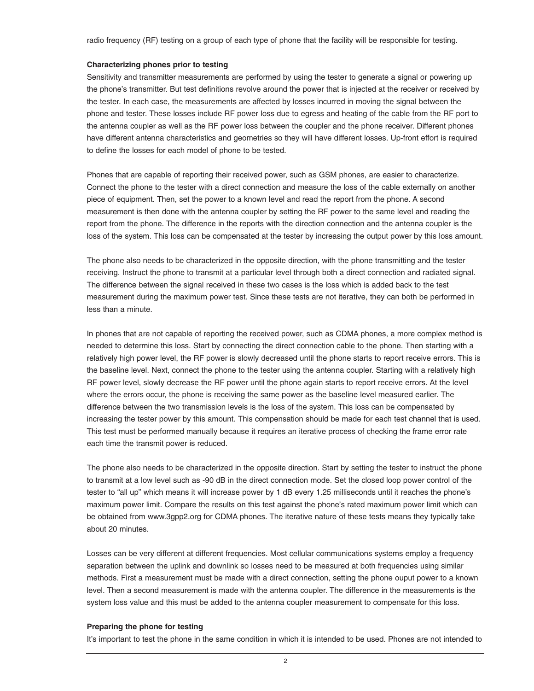radio frequency (RF) testing on a group of each type of phone that the facility will be responsible for testing.

## **Characterizing phones prior to testing**

Sensitivity and transmitter measurements are performed by using the tester to generate a signal or powering up the phone's transmitter. But test definitions revolve around the power that is injected at the receiver or received by the tester. In each case, the measurements are affected by losses incurred in moving the signal between the phone and tester. These losses include RF power loss due to egress and heating of the cable from the RF port to the antenna coupler as well as the RF power loss between the coupler and the phone receiver. Different phones have different antenna characteristics and geometries so they will have different losses. Up-front effort is required to define the losses for each model of phone to be tested.

Phones that are capable of reporting their received power, such as GSM phones, are easier to characterize. Connect the phone to the tester with a direct connection and measure the loss of the cable externally on another piece of equipment. Then, set the power to a known level and read the report from the phone. A second measurement is then done with the antenna coupler by setting the RF power to the same level and reading the report from the phone. The difference in the reports with the direction connection and the antenna coupler is the loss of the system. This loss can be compensated at the tester by increasing the output power by this loss amount.

The phone also needs to be characterized in the opposite direction, with the phone transmitting and the tester receiving. Instruct the phone to transmit at a particular level through both a direct connection and radiated signal. The difference between the signal received in these two cases is the loss which is added back to the test measurement during the maximum power test. Since these tests are not iterative, they can both be performed in less than a minute.

In phones that are not capable of reporting the received power, such as CDMA phones, a more complex method is needed to determine this loss. Start by connecting the direct connection cable to the phone. Then starting with a relatively high power level, the RF power is slowly decreased until the phone starts to report receive errors. This is the baseline level. Next, connect the phone to the tester using the antenna coupler. Starting with a relatively high RF power level, slowly decrease the RF power until the phone again starts to report receive errors. At the level where the errors occur, the phone is receiving the same power as the baseline level measured earlier. The difference between the two transmission levels is the loss of the system. This loss can be compensated by increasing the tester power by this amount. This compensation should be made for each test channel that is used. This test must be performed manually because it requires an iterative process of checking the frame error rate each time the transmit power is reduced.

The phone also needs to be characterized in the opposite direction. Start by setting the tester to instruct the phone to transmit at a low level such as -90 dB in the direct connection mode. Set the closed loop power control of the tester to "all up" which means it will increase power by 1 dB every 1.25 milliseconds until it reaches the phone's maximum power limit. Compare the results on this test against the phone's rated maximum power limit which can be obtained from www.3gpp2.org for CDMA phones. The iterative nature of these tests means they typically take about 20 minutes.

Losses can be very different at different frequencies. Most cellular communications systems employ a frequency separation between the uplink and downlink so losses need to be measured at both frequencies using similar methods. First a measurement must be made with a direct connection, setting the phone ouput power to a known level. Then a second measurement is made with the antenna coupler. The difference in the measurements is the system loss value and this must be added to the antenna coupler measurement to compensate for this loss.

### **Preparing the phone for testing**

It's important to test the phone in the same condition in which it is intended to be used. Phones are not intended to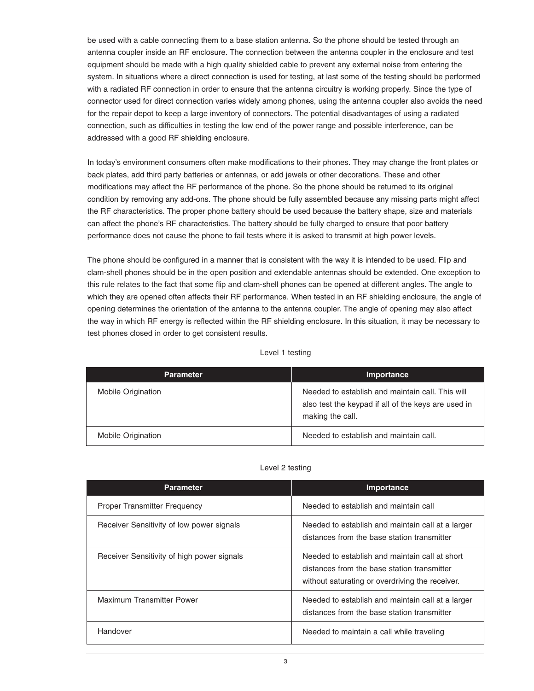be used with a cable connecting them to a base station antenna. So the phone should be tested through an antenna coupler inside an RF enclosure. The connection between the antenna coupler in the enclosure and test equipment should be made with a high quality shielded cable to prevent any external noise from entering the system. In situations where a direct connection is used for testing, at last some of the testing should be performed with a radiated RF connection in order to ensure that the antenna circuitry is working properly. Since the type of connector used for direct connection varies widely among phones, using the antenna coupler also avoids the need for the repair depot to keep a large inventory of connectors. The potential disadvantages of using a radiated connection, such as difficulties in testing the low end of the power range and possible interference, can be addressed with a good RF shielding enclosure.

In today's environment consumers often make modifications to their phones. They may change the front plates or back plates, add third party batteries or antennas, or add jewels or other decorations. These and other modifications may affect the RF performance of the phone. So the phone should be returned to its original condition by removing any add-ons. The phone should be fully assembled because any missing parts might affect the RF characteristics. The proper phone battery should be used because the battery shape, size and materials can affect the phone's RF characteristics. The battery should be fully charged to ensure that poor battery performance does not cause the phone to fail tests where it is asked to transmit at high power levels.

The phone should be configured in a manner that is consistent with the way it is intended to be used. Flip and clam-shell phones should be in the open position and extendable antennas should be extended. One exception to this rule relates to the fact that some flip and clam-shell phones can be opened at different angles. The angle to which they are opened often affects their RF performance. When tested in an RF shielding enclosure, the angle of opening determines the orientation of the antenna to the antenna coupler. The angle of opening may also affect the way in which RF energy is reflected within the RF shielding enclosure. In this situation, it may be necessary to test phones closed in order to get consistent results.

## Level 1 testing

| <b>Parameter</b>          | <b>Importance</b>                                                                                                           |
|---------------------------|-----------------------------------------------------------------------------------------------------------------------------|
| Mobile Origination        | Needed to establish and maintain call. This will<br>also test the keypad if all of the keys are used in<br>making the call. |
| <b>Mobile Origination</b> | Needed to establish and maintain call.                                                                                      |

| Importance                                                                                                                                       |
|--------------------------------------------------------------------------------------------------------------------------------------------------|
| Needed to establish and maintain call                                                                                                            |
| Needed to establish and maintain call at a larger<br>distances from the base station transmitter                                                 |
| Needed to establish and maintain call at short<br>distances from the base station transmitter<br>without saturating or overdriving the receiver. |
| Needed to establish and maintain call at a larger<br>distances from the base station transmitter                                                 |
| Needed to maintain a call while traveling                                                                                                        |
|                                                                                                                                                  |

## Level 2 testing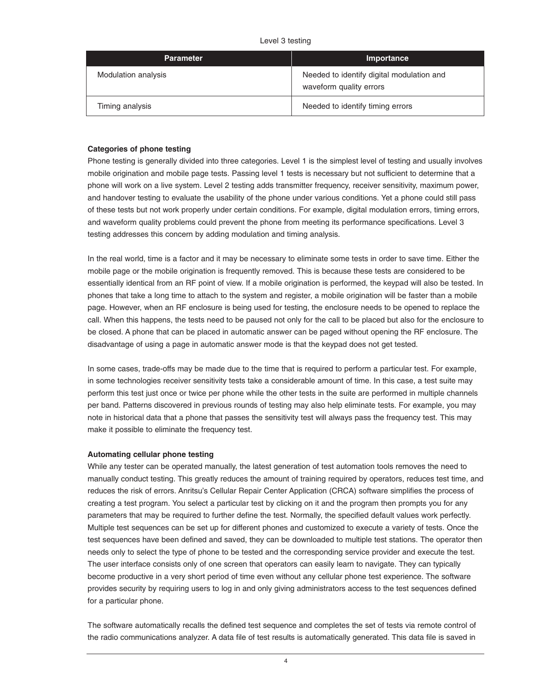|  | Level 3 testing |
|--|-----------------|
|  |                 |

| <b>Parameter</b>    | Importance                                                           |
|---------------------|----------------------------------------------------------------------|
| Modulation analysis | Needed to identify digital modulation and<br>waveform quality errors |
| Timing analysis     | Needed to identify timing errors                                     |

## **Categories of phone testing**

Phone testing is generally divided into three categories. Level 1 is the simplest level of testing and usually involves mobile origination and mobile page tests. Passing level 1 tests is necessary but not sufficient to determine that a phone will work on a live system. Level 2 testing adds transmitter frequency, receiver sensitivity, maximum power, and handover testing to evaluate the usability of the phone under various conditions. Yet a phone could still pass of these tests but not work properly under certain conditions. For example, digital modulation errors, timing errors, and waveform quality problems could prevent the phone from meeting its performance specifications. Level 3 testing addresses this concern by adding modulation and timing analysis.

In the real world, time is a factor and it may be necessary to eliminate some tests in order to save time. Either the mobile page or the mobile origination is frequently removed. This is because these tests are considered to be essentially identical from an RF point of view. If a mobile origination is performed, the keypad will also be tested. In phones that take a long time to attach to the system and register, a mobile origination will be faster than a mobile page. However, when an RF enclosure is being used for testing, the enclosure needs to be opened to replace the call. When this happens, the tests need to be paused not only for the call to be placed but also for the enclosure to be closed. A phone that can be placed in automatic answer can be paged without opening the RF enclosure. The disadvantage of using a page in automatic answer mode is that the keypad does not get tested.

In some cases, trade-offs may be made due to the time that is required to perform a particular test. For example, in some technologies receiver sensitivity tests take a considerable amount of time. In this case, a test suite may perform this test just once or twice per phone while the other tests in the suite are performed in multiple channels per band. Patterns discovered in previous rounds of testing may also help eliminate tests. For example, you may note in historical data that a phone that passes the sensitivity test will always pass the frequency test. This may make it possible to eliminate the frequency test.

## **Automating cellular phone testing**

While any tester can be operated manually, the latest generation of test automation tools removes the need to manually conduct testing. This greatly reduces the amount of training required by operators, reduces test time, and reduces the risk of errors. Anritsu's Cellular Repair Center Application (CRCA) software simplifies the process of creating a test program. You select a particular test by clicking on it and the program then prompts you for any parameters that may be required to further define the test. Normally, the specified default values work perfectly. Multiple test sequences can be set up for different phones and customized to execute a variety of tests. Once the test sequences have been defined and saved, they can be downloaded to multiple test stations. The operator then needs only to select the type of phone to be tested and the corresponding service provider and execute the test. The user interface consists only of one screen that operators can easily learn to navigate. They can typically become productive in a very short period of time even without any cellular phone test experience. The software provides security by requiring users to log in and only giving administrators access to the test sequences defined for a particular phone.

The software automatically recalls the defined test sequence and completes the set of tests via remote control of the radio communications analyzer. A data file of test results is automatically generated. This data file is saved in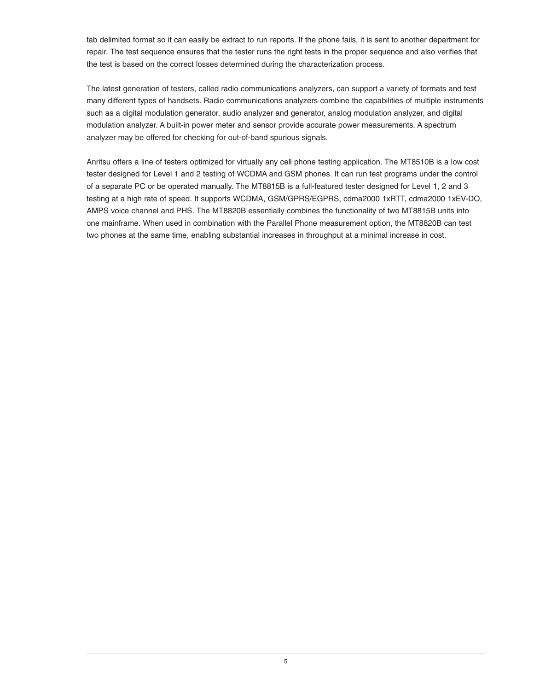tab delimited format so it can easily be extract to run reports. If the phone fails, it is sent to another department for repair. The test sequence ensures that the tester runs the right tests in the proper sequence and also verifies that the test is based on the correct losses determined during the characterization process.

The latest generation of testers, called radio communications analyzers, can support a variety of formats and test many different types of handsets. Radio communications analyzers combine the capabilities of multiple instruments such as a digital modulation generator, audio analyzer and generator, analog modulation analyzer, and digital modulation analyzer. A built-in power meter and sensor provide accurate power measurements. A spectrum analyzer may be offered for checking for out-of-band spurious signals.

Anritsu offers a line of testers optimized for virtually any cell phone testing application. The MT8510B is a low cost tester designed for Level 1 and 2 testing of WCDMA and GSM phones. It can run test programs under the control of a separate PC or be operated manually. The MT8815B is a full-featured tester designed for Level 1, 2 and 3 testing at a high rate of speed. It supports WCDMA, GSM/GPRS/EGPRS, cdma2000 1xRTT, cdma2000 1xEV-DO, AMPS voice channel and PHS. The MT8820B essentially combines the functionality of two MT8815B units into one mainframe. When used in combination with the Parallel Phone measurement option, the MT8820B can test two phones at the same time, enabling substantial increases in throughput at a minimal increase in cost.